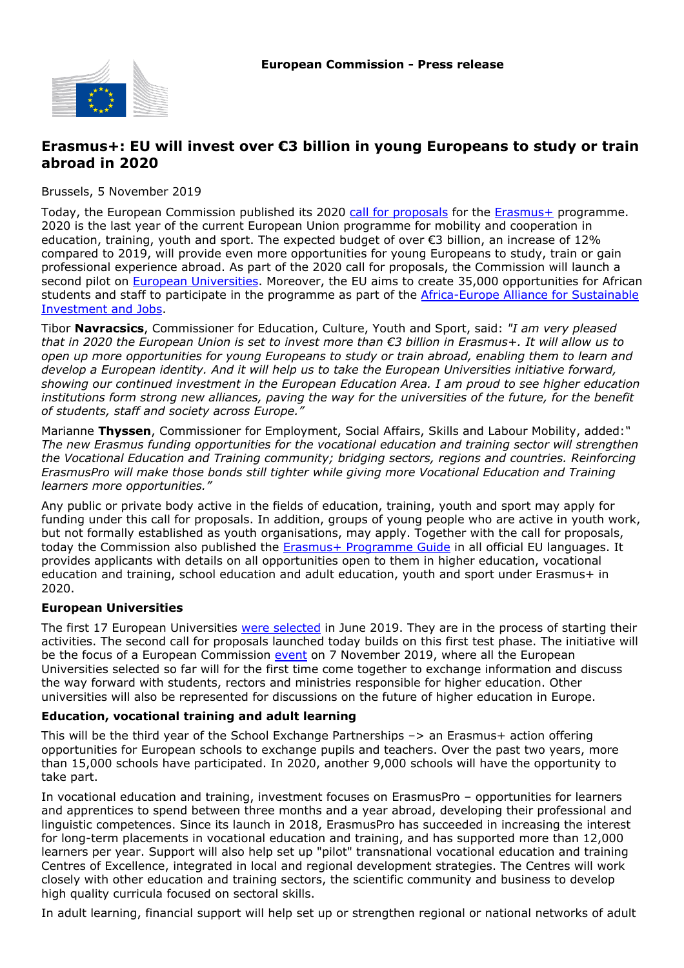

# **Erasmus+: EU will invest over €3 billion in young Europeans to study or train abroad in 2020**

Brussels, 5 November 2019

Today, the European Commission published its 2020 [call for proposals](https://eur-lex.europa.eu/legal-content/EN/TXT/?qid=1572940260287&uri=OJ:JOC_2019_373_R_0006) for the [Erasmus+](http://ec.europa.eu/programmes/erasmus-plus/node_en) programme. 2020 is the last year of the current European Union programme for mobility and cooperation in education, training, youth and sport. The expected budget of over €3 billion, an increase of 12% compared to 2019, will provide even more opportunities for young Europeans to study, train or gain professional experience abroad. As part of the 2020 call for proposals, the Commission will launch a second pilot on [European Universities.](https://ec.europa.eu/education/education-in-the-eu/european-education-area/european-universities-initiative_en) Moreover, the EU aims to create 35,000 opportunities for African students and staff to participate in the programme as part of the [Africa-Europe Alliance for Sustainable](https://ec.europa.eu/commission/africaeuropealliance_en) [Investment and Jobs](https://ec.europa.eu/commission/africaeuropealliance_en).

Tibor **Navracsics**, Commissioner for Education, Culture, Youth and Sport, said: *"I am very pleased that in 2020 the European Union is set to invest more than €3 billion in Erasmus+. It will allow us to open up more opportunities for young Europeans to study or train abroad, enabling them to learn and develop a European identity. And it will help us to take the European Universities initiative forward, showing our continued investment in the European Education Area. I am proud to see higher education institutions form strong new alliances, paving the way for the universities of the future, for the benefit of students, staff and society across Europe."*

Marianne **Thyssen**, Commissioner for Employment, Social Affairs, Skills and Labour Mobility, added:*" The new Erasmus funding opportunities for the vocational education and training sector will strengthen the Vocational Education and Training community; bridging sectors, regions and countries. Reinforcing ErasmusPro will make those bonds still tighter while giving more Vocational Education and Training learners more opportunities."*

Any public or private body active in the fields of education, training, youth and sport may apply for funding under this call for proposals. In addition, groups of young people who are active in youth work, but not formally established as youth organisations, may apply. Together with the call for proposals, today the Commission also published the [Erasmus+ Programme Guide](https://ec.europa.eu/programmes/erasmus-plus/resources/programme-guide) in all official EU languages. It provides applicants with details on all opportunities open to them in higher education, vocational education and training, school education and adult education, youth and sport under Erasmus+ in 2020.

#### **European Universities**

The first 17 European Universities [were selected](https://europa.eu/rapid/press-release_IP-19-3389_en.htm) in June 2019. They are in the process of starting their activities. The second call for proposals launched today builds on this first test phase. The initiative will be the focus of a European Commission [event](https://ec.europa.eu/education/events/european-universities-initiative_en) on 7 November 2019, where all the European Universities selected so far will for the first time come together to exchange information and discuss the way forward with students, rectors and ministries responsible for higher education. Other universities will also be represented for discussions on the future of higher education in Europe.

#### **Education, vocational training and adult learning**

This will be the third year of the School Exchange Partnerships –> an Erasmus+ action offering opportunities for European schools to exchange pupils and teachers. Over the past two years, more than 15,000 schools have participated. In 2020, another 9,000 schools will have the opportunity to take part.

In vocational education and training, investment focuses on ErasmusPro – opportunities for learners and apprentices to spend between three months and a year abroad, developing their professional and linguistic competences. Since its launch in 2018, ErasmusPro has succeeded in increasing the interest for long-term placements in vocational education and training, and has supported more than 12,000 learners per year. Support will also help set up "pilot" transnational vocational education and training Centres of Excellence, integrated in local and regional development strategies. The Centres will work closely with other education and training sectors, the scientific community and business to develop high quality curricula focused on sectoral skills.

In adult learning, financial support will help set up or strengthen regional or national networks of adult